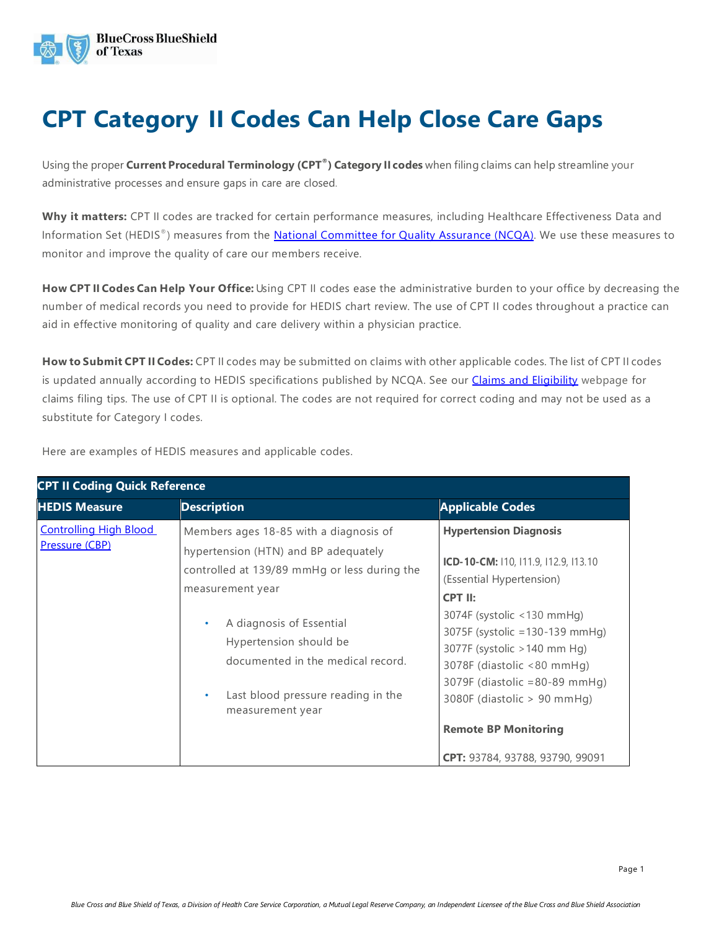

## **CPT Category II Codes Can Help Close Care Gaps**

Using the proper **Current Procedural Terminology (CPT®) Category II codes** when filing claims can help streamline your administrative processes and ensure gaps in care are closed.

**Why it matters:** CPT II codes are tracked for certain performance measures, including Healthcare Effectiveness Data and Information Set (HEDIS®) measures from the [National Committee for Quality Assurance \(NCQA\).](https://www.ncqa.org/) We use these measures to monitor and improve the quality of care our members receive.

**How CPT II Codes Can Help Your Office:** Using CPT II codes ease the administrative burden to your office by decreasing the number of medical records you need to provide for HEDIS chart review. The use of CPT II codes throughout a practice can aid in effective monitoring of quality and care delivery within a physician practice.

**How to Submit CPT II Codes:** CPT II codes may be submitted on claims with other applicable codes. The list of CPT II codes is updated annually according to HEDIS specifications published by NCQA. See our *Claims and Eligibility* webpage for claims filing tips. The use of CPT II is optional. The codes are not required for correct coding and may not be used as a substitute for Category I codes.

Here are examples of HEDIS measures and applicable codes.

| <b>CPT II Coding Quick Reference</b>            |                                                                                                                                                                                                                                                                                                                           |                                                                                                                                                                                                                                                                                                                                                                                             |  |
|-------------------------------------------------|---------------------------------------------------------------------------------------------------------------------------------------------------------------------------------------------------------------------------------------------------------------------------------------------------------------------------|---------------------------------------------------------------------------------------------------------------------------------------------------------------------------------------------------------------------------------------------------------------------------------------------------------------------------------------------------------------------------------------------|--|
| <b>HEDIS Measure</b>                            | <b>Description</b>                                                                                                                                                                                                                                                                                                        | <b>Applicable Codes</b>                                                                                                                                                                                                                                                                                                                                                                     |  |
| <b>Controlling High Blood</b><br>Pressure (CBP) | Members ages 18-85 with a diagnosis of<br>hypertension (HTN) and BP adequately<br>controlled at 139/89 mmHg or less during the<br>measurement year<br>A diagnosis of Essential<br>$\bullet$<br>Hypertension should be<br>documented in the medical record.<br>Last blood pressure reading in the<br>٠<br>measurement year | <b>Hypertension Diagnosis</b><br>ICD-10-CM: 110, 111.9, 112.9, 113.10<br>(Essential Hypertension)<br>CPT II:<br>$3074F$ (systolic <130 mmHg)<br>3075F (systolic = 130-139 mmHq)<br>3077F (systolic > 140 mm Hg)<br>3078F (diastolic <80 mmHg)<br>$3079F$ (diastolic = 80-89 mmHg)<br>3080F (diastolic $> 90$ mmHg)<br><b>Remote BP Monitoring</b><br><b>CPT:</b> 93784, 93788, 93790, 99091 |  |